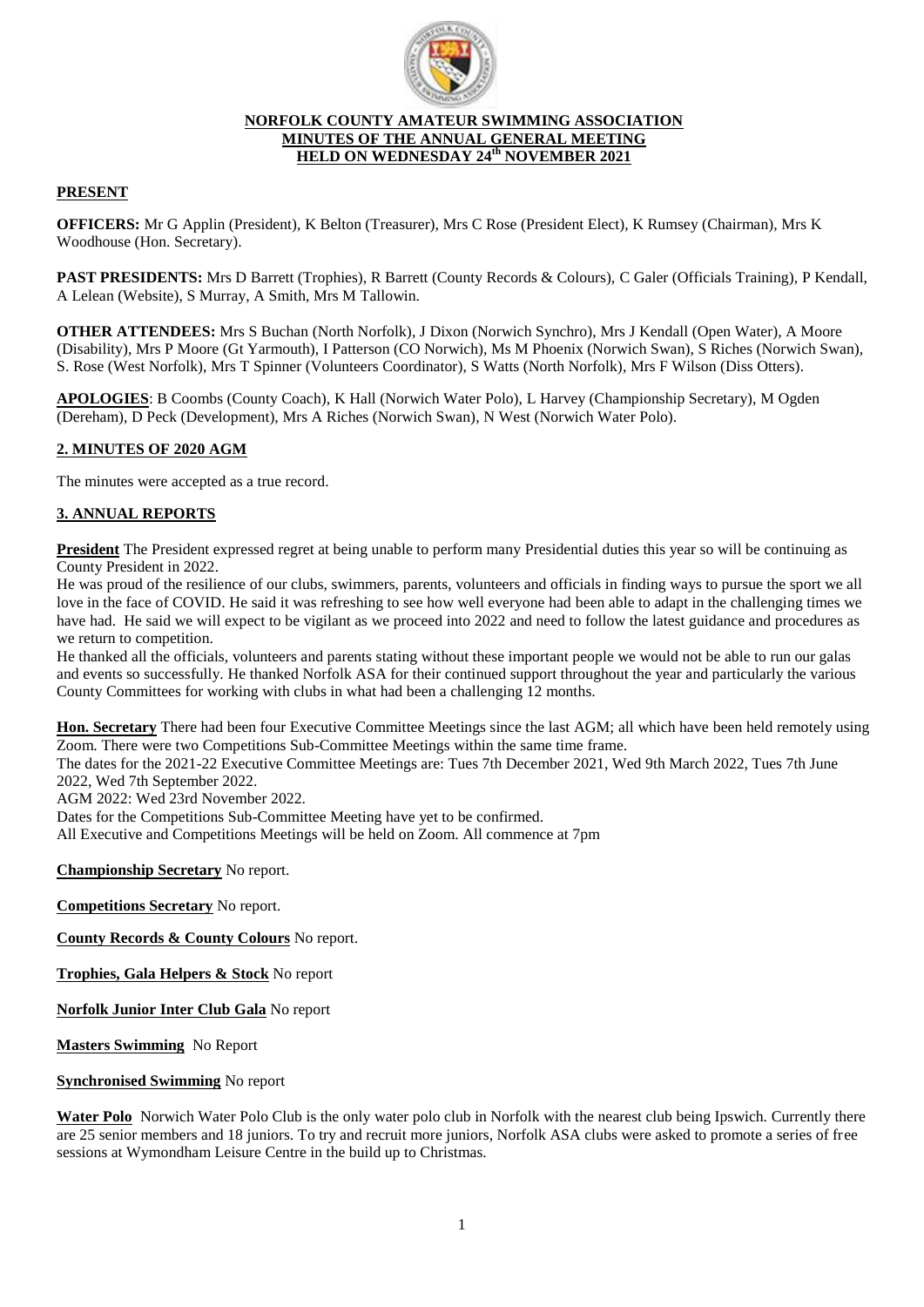

### **NORFOLK COUNTY AMATEUR SWIMMING ASSOCIATION MINUTES OF THE ANNUAL GENERAL MEETING HELD ON WEDNESDAY 24 th NOVEMBER 2021**

# **PRESENT**

**OFFICERS:** Mr G Applin (President), K Belton (Treasurer), Mrs C Rose (President Elect), K Rumsey (Chairman), Mrs K Woodhouse (Hon. Secretary).

**PAST PRESIDENTS:** Mrs D Barrett (Trophies), R Barrett (County Records & Colours), C Galer (Officials Training), P Kendall, A Lelean (Website), S Murray, A Smith, Mrs M Tallowin.

**OTHER ATTENDEES:** Mrs S Buchan (North Norfolk), J Dixon (Norwich Synchro), Mrs J Kendall (Open Water), A Moore (Disability), Mrs P Moore (Gt Yarmouth), I Patterson (CO Norwich), Ms M Phoenix (Norwich Swan), S Riches (Norwich Swan), S. Rose (West Norfolk), Mrs T Spinner (Volunteers Coordinator), S Watts (North Norfolk), Mrs F Wilson (Diss Otters).

**APOLOGIES**: B Coombs (County Coach), K Hall (Norwich Water Polo), L Harvey (Championship Secretary), M Ogden (Dereham), D Peck (Development), Mrs A Riches (Norwich Swan), N West (Norwich Water Polo).

## **2. MINUTES OF 2020 AGM**

The minutes were accepted as a true record.

## **3. ANNUAL REPORTS**

**President** The President expressed regret at being unable to perform many Presidential duties this year so will be continuing as County President in 2022.

He was proud of the resilience of our clubs, swimmers, parents, volunteers and officials in finding ways to pursue the sport we all love in the face of COVID. He said it was refreshing to see how well everyone had been able to adapt in the challenging times we have had. He said we will expect to be vigilant as we proceed into 2022 and need to follow the latest guidance and procedures as we return to competition.

He thanked all the officials, volunteers and parents stating without these important people we would not be able to run our galas and events so successfully. He thanked Norfolk ASA for their continued support throughout the year and particularly the various County Committees for working with clubs in what had been a challenging 12 months.

**Hon. Secretary** There had been four Executive Committee Meetings since the last AGM; all which have been held remotely using Zoom. There were two Competitions Sub-Committee Meetings within the same time frame.

The dates for the 2021-22 Executive Committee Meetings are: Tues 7th December 2021, Wed 9th March 2022, Tues 7th June 2022, Wed 7th September 2022.

AGM 2022: Wed 23rd November 2022.

Dates for the Competitions Sub-Committee Meeting have yet to be confirmed.

All Executive and Competitions Meetings will be held on Zoom. All commence at 7pm

**Championship Secretary** No report.

**Competitions Secretary** No report.

**County Records & County Colours** No report.

**Trophies, Gala Helpers & Stock** No report

**Norfolk Junior Inter Club Gala** No report

**Masters Swimming** No Report

#### **Synchronised Swimming** No report

**Water Polo** Norwich Water Polo Club is the only water polo club in Norfolk with the nearest club being Ipswich. Currently there are 25 senior members and 18 juniors. To try and recruit more juniors, Norfolk ASA clubs were asked to promote a series of free sessions at Wymondham Leisure Centre in the build up to Christmas.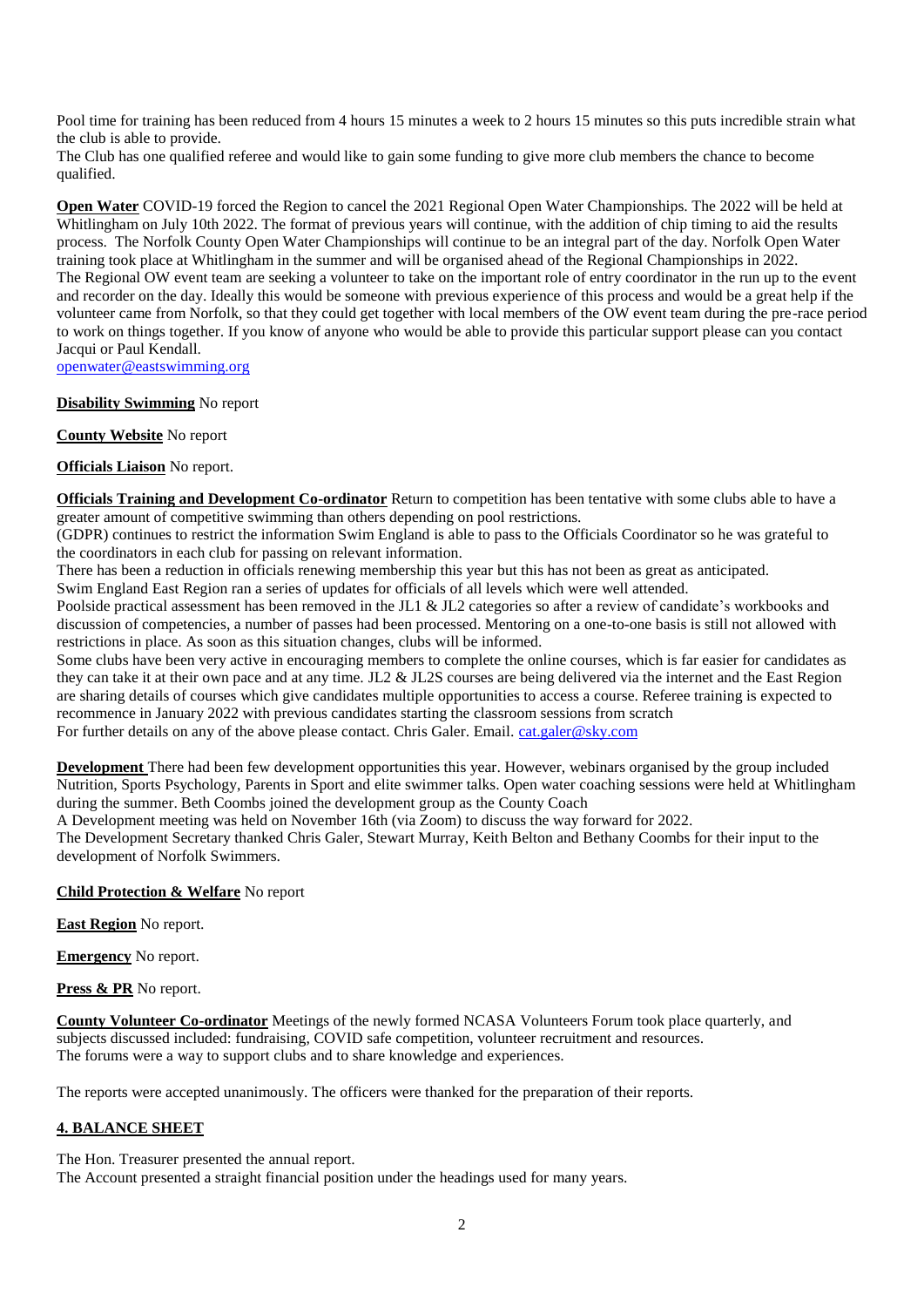Pool time for training has been reduced from 4 hours 15 minutes a week to 2 hours 15 minutes so this puts incredible strain what the club is able to provide.

The Club has one qualified referee and would like to gain some funding to give more club members the chance to become qualified.

**Open Water** COVID-19 forced the Region to cancel the 2021 Regional Open Water Championships. The 2022 will be held at Whitlingham on July 10th 2022. The format of previous years will continue, with the addition of chip timing to aid the results process. The Norfolk County Open Water Championships will continue to be an integral part of the day. Norfolk Open Water training took place at Whitlingham in the summer and will be organised ahead of the Regional Championships in 2022. The Regional OW event team are seeking a volunteer to take on the important role of entry coordinator in the run up to the event and recorder on the day. Ideally this would be someone with previous experience of this process and would be a great help if the volunteer came from Norfolk, so that they could get together with local members of the OW event team during the pre-race period to work on things together. If you know of anyone who would be able to provide this particular support please can you contact Jacqui or Paul Kendall.

[openwater@eastswimming.org](mailto:openwater@eastswimming.org)

### **Disability Swimming** No report

**County Website** No report

**Officials Liaison** No report.

**Officials Training and Development Co-ordinator** Return to competition has been tentative with some clubs able to have a greater amount of competitive swimming than others depending on pool restrictions.

(GDPR) continues to restrict the information Swim England is able to pass to the Officials Coordinator so he was grateful to the coordinators in each club for passing on relevant information.

There has been a reduction in officials renewing membership this year but this has not been as great as anticipated. Swim England East Region ran a series of updates for officials of all levels which were well attended.

Poolside practical assessment has been removed in the JL1 & JL2 categories so after a review of candidate's workbooks and discussion of competencies, a number of passes had been processed. Mentoring on a one-to-one basis is still not allowed with restrictions in place. As soon as this situation changes, clubs will be informed.

Some clubs have been very active in encouraging members to complete the online courses, which is far easier for candidates as they can take it at their own pace and at any time. JL2 & JL2S courses are being delivered via the internet and the East Region are sharing details of courses which give candidates multiple opportunities to access a course. Referee training is expected to recommence in January 2022 with previous candidates starting the classroom sessions from scratch For further details on any of the above please contact. Chris Galer. Email. [cat.galer@sky.com](mailto:cat.galer@sky.com)

**Development** There had been few development opportunities this year. However, webinars organised by the group included Nutrition, Sports Psychology, Parents in Sport and elite swimmer talks. Open water coaching sessions were held at Whitlingham during the summer. Beth Coombs joined the development group as the County Coach

A Development meeting was held on November 16th (via Zoom) to discuss the way forward for 2022.

The Development Secretary thanked Chris Galer, Stewart Murray, Keith Belton and Bethany Coombs for their input to the development of Norfolk Swimmers.

### **Child Protection & Welfare** No report

**East Region** No report.

**Emergency** No report.

**Press & PR** No report.

**County Volunteer Co-ordinator** Meetings of the newly formed NCASA Volunteers Forum took place quarterly, and subjects discussed included: fundraising, COVID safe competition, volunteer recruitment and resources. The forums were a way to support clubs and to share knowledge and experiences.

The reports were accepted unanimously. The officers were thanked for the preparation of their reports.

# **4. BALANCE SHEET**

The Hon. Treasurer presented the annual report.

The Account presented a straight financial position under the headings used for many years.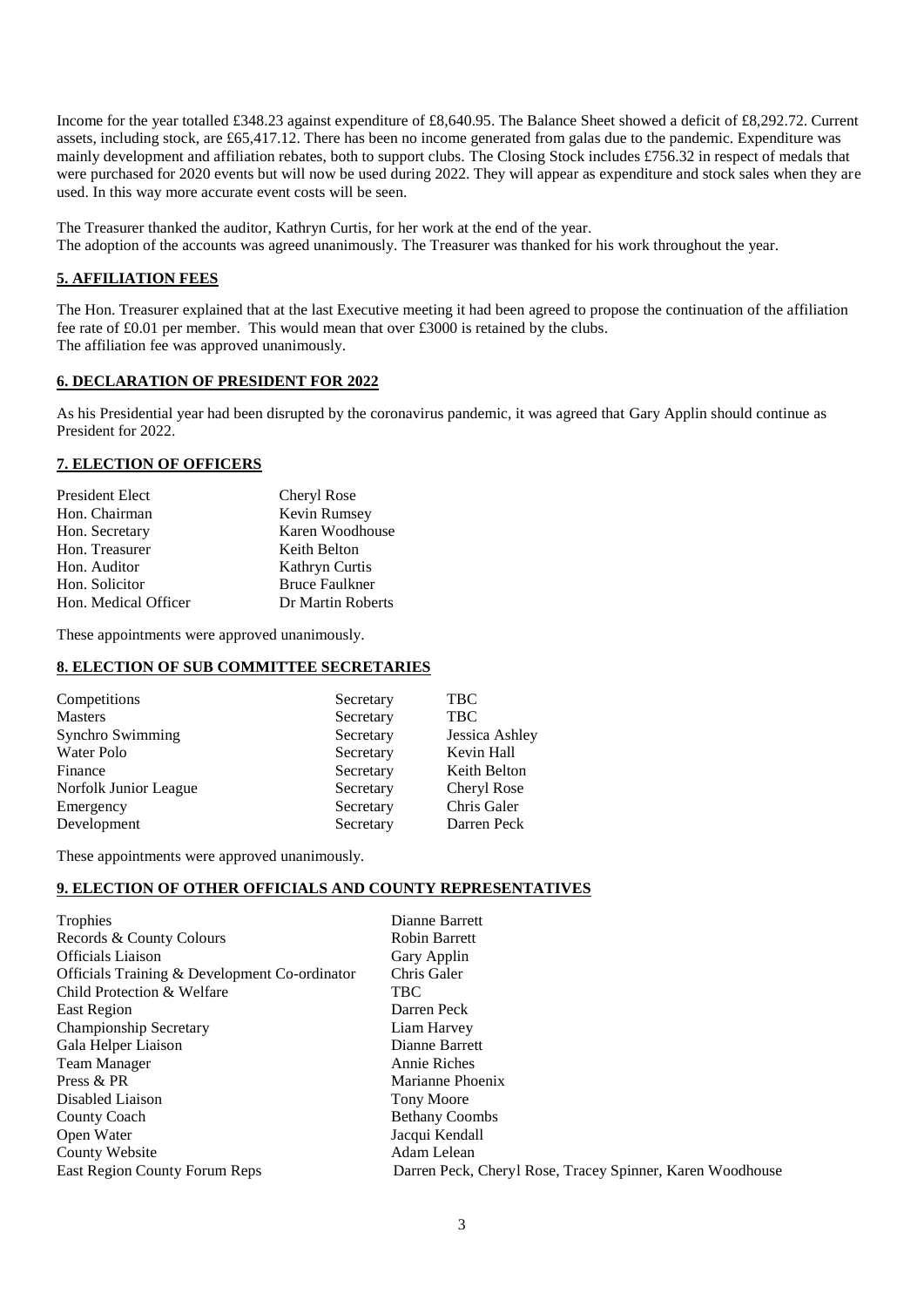Income for the year totalled £348.23 against expenditure of £8,640.95. The Balance Sheet showed a deficit of £8,292.72. Current assets, including stock, are £65,417.12. There has been no income generated from galas due to the pandemic. Expenditure was mainly development and affiliation rebates, both to support clubs. The Closing Stock includes £756.32 in respect of medals that were purchased for 2020 events but will now be used during 2022. They will appear as expenditure and stock sales when they are used. In this way more accurate event costs will be seen.

The Treasurer thanked the auditor, Kathryn Curtis, for her work at the end of the year. The adoption of the accounts was agreed unanimously. The Treasurer was thanked for his work throughout the year.

### **5. AFFILIATION FEES**

The Hon. Treasurer explained that at the last Executive meeting it had been agreed to propose the continuation of the affiliation fee rate of £0.01 per member. This would mean that over £3000 is retained by the clubs. The affiliation fee was approved unanimously.

### **6. DECLARATION OF PRESIDENT FOR 2022**

As his Presidential year had been disrupted by the coronavirus pandemic, it was agreed that Gary Applin should continue as President for 2022.

### **7. ELECTION OF OFFICERS**

| <b>President Elect</b> | Cheryl Rose           |
|------------------------|-----------------------|
| Hon. Chairman          | Kevin Rumsey          |
| Hon. Secretary         | Karen Woodhouse       |
| Hon. Treasurer         | Keith Belton          |
| Hon. Auditor           | Kathryn Curtis        |
| Hon. Solicitor         | <b>Bruce Faulkner</b> |
| Hon. Medical Officer   | Dr Martin Roberts     |

These appointments were approved unanimously.

### **8. ELECTION OF SUB COMMITTEE SECRETARIES**

| Competitions          | Secretary | TBC            |
|-----------------------|-----------|----------------|
| <b>Masters</b>        | Secretary | <b>TBC</b>     |
| Synchro Swimming      | Secretary | Jessica Ashley |
| Water Polo            | Secretary | Kevin Hall     |
| Finance               | Secretary | Keith Belton   |
| Norfolk Junior League | Secretary | Cheryl Rose    |
| Emergency             | Secretary | Chris Galer    |
| Development           | Secretary | Darren Peck    |

These appointments were approved unanimously.

#### **9. ELECTION OF OTHER OFFICIALS AND COUNTY REPRESENTATIVES**

| Trophies                                      | Dianne Barrett                                            |
|-----------------------------------------------|-----------------------------------------------------------|
| Records & County Colours                      | <b>Robin Barrett</b>                                      |
| <b>Officials Liaison</b>                      | Gary Applin                                               |
| Officials Training & Development Co-ordinator | Chris Galer                                               |
| Child Protection & Welfare                    | <b>TBC</b>                                                |
| East Region                                   | Darren Peck                                               |
| Championship Secretary                        | Liam Harvey                                               |
| Gala Helper Liaison                           | Dianne Barrett                                            |
| Team Manager                                  | Annie Riches                                              |
| Press & PR                                    | Marianne Phoenix                                          |
| Disabled Liaison                              | <b>Tony Moore</b>                                         |
| County Coach                                  | <b>Bethany Coombs</b>                                     |
| Open Water                                    | Jacqui Kendall                                            |
| County Website                                | Adam Lelean                                               |
| <b>East Region County Forum Reps</b>          | Darren Peck, Cheryl Rose, Tracey Spinner, Karen Woodhouse |